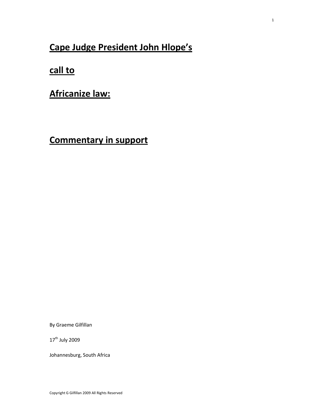## **Cape Judge President John Hlope's**

**call to** 

| <b>Africanize law:</b> |  |
|------------------------|--|
|                        |  |

**Commentary in support**

By Graeme Gilfillan

17<sup>th</sup> July 2009

Johannesburg, South Africa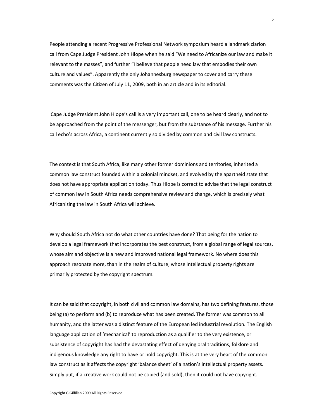People attending a recent Progressive Professional Network symposium heard a landmark clarion call from Cape Judge President John Hlope when he said "We need to Africanize our law and make it relevant to the masses", and further "I believe that people need law that embodies their own culture and values". Apparently the only Johannesburg newspaper to cover and carry these comments was the Citizen of July 11, 2009, both in an article and in its editorial.

 Cape Judge President John Hlope's call is a very important call, one to be heard clearly, and not to be approached from the point of the messenger, but from the substance of his message. Further his call echo's across Africa, a continent currently so divided by common and civil law constructs.

The context is that South Africa, like many other former dominions and territories, inherited a common law construct founded within a colonial mindset, and evolved by the apartheid state that does not have appropriate application today. Thus Hlope is correct to advise that the legal construct of common law in South Africa needs comprehensive review and change, which is precisely what Africanizing the law in South Africa will achieve.

Why should South Africa not do what other countries have done? That being for the nation to develop a legal framework that incorporates the best construct, from a global range of legal sources, whose aim and objective is a new and improved national legal framework. No where does this approach resonate more, than in the realm of culture, whose intellectual property rights are primarily protected by the copyright spectrum.

It can be said that copyright, in both civil and common law domains, has two defining features, those being (a) to perform and (b) to reproduce what has been created. The former was common to all humanity, and the latter was a distinct feature of the European led industrial revolution. The English language application of 'mechanical' to reproduction as a qualifier to the very existence, or subsistence of copyright has had the devastating effect of denying oral traditions, folklore and indigenous knowledge any right to have or hold copyright. This is at the very heart of the common law construct as it affects the copyright 'balance sheet' of a nation's intellectual property assets. Simply put, if a creative work could not be copied (and sold), then it could not have copyright.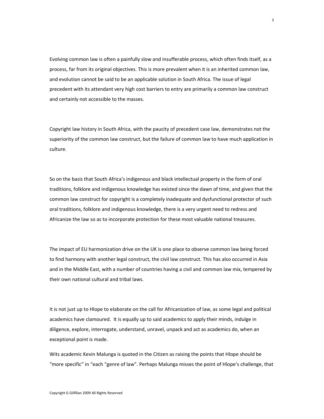Evolving common law is often a painfully slow and insufferable process, which often finds itself, as a process, far from its original objectives. This is more prevalent when it is an inherited common law, and evolution cannot be said to be an applicable solution in South Africa. The issue of legal precedent with its attendant very high cost barriers to entry are primarily a common law construct and certainly not accessible to the masses.

Copyright law history in South Africa, with the paucity of precedent case law, demonstrates not the superiority of the common law construct, but the failure of common law to have much application in culture.

So on the basis that South Africa's indigenous and black intellectual property in the form of oral traditions, folklore and indigenous knowledge has existed since the dawn of time, and given that the common law construct for copyright is a completely inadequate and dysfunctional protector of such oral traditions, folklore and indigenous knowledge, there is a very urgent need to redress and Africanize the law so as to incorporate protection for these most valuable national treasures.

The impact of EU harmonization drive on the UK is one place to observe common law being forced to find harmony with another legal construct, the civil law construct. This has also occurred in Asia and in the Middle East, with a number of countries having a civil and common law mix, tempered by their own national cultural and tribal laws.

It is not just up to Hlope to elaborate on the call for Africanization of law, as some legal and political academics have clamoured. It is equally up to said academics to apply their minds, indulge in diligence, explore, interrogate, understand, unravel, unpack and act as academics do, when an exceptional point is made.

Wits academic Kevin Malunga is quoted in the Citizen as raising the points that Hlope should be "more specific" in "each "genre of law". Perhaps Malunga misses the point of Hlope's challenge, that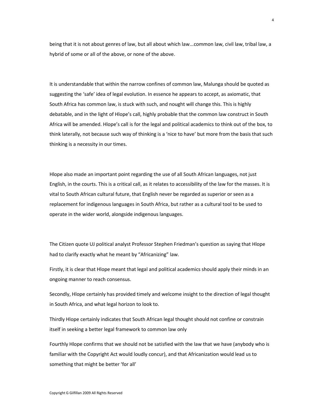being that it is not about genres of law, but all about which law...common law, civil law, tribal law, a hybrid of some or all of the above, or none of the above.

It is understandable that within the narrow confines of common law, Malunga should be quoted as suggesting the 'safe' idea of legal evolution. In essence he appears to accept, as axiomatic, that South Africa has common law, is stuck with such, and nought will change this. This is highly debatable, and in the light of Hlope's call, highly probable that the common law construct in South Africa will be amended. Hlope's call is for the legal and political academics to think out of the box, to think laterally, not because such way of thinking is a 'nice to have' but more from the basis that such thinking is a necessity in our times.

Hlope also made an important point regarding the use of all South African languages, not just English, in the courts. This is a critical call, as it relates to accessibility of the law for the masses. It is vital to South African cultural future, that English never be regarded as superior or seen as a replacement for indigenous languages in South Africa, but rather as a cultural tool to be used to operate in the wider world, alongside indigenous languages.

The Citizen quote UJ political analyst Professor Stephen Friedman's question as saying that Hlope had to clarify exactly what he meant by "Africanizing" law.

Firstly, it is clear that Hlope meant that legal and political academics should apply their minds in an ongoing manner to reach consensus.

Secondly, Hlope certainly has provided timely and welcome insight to the direction of legal thought in South Africa, and what legal horizon to look to.

Thirdly Hlope certainly indicates that South African legal thought should not confine or constrain itself in seeking a better legal framework to common law only

Fourthly Hlope confirms that we should not be satisfied with the law that we have (anybody who is familiar with the Copyright Act would loudly concur), and that Africanization would lead us to something that might be better 'for all'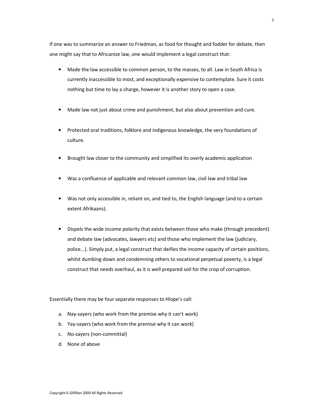If one was to summarize an answer to Friedman, as food for thought and fodder for debate, then one might say that to Africanize law, one would implement a legal construct that:

- Made the law accessible to common person, to the masses, to all. Law in South Africa is currently inaccessible to most, and exceptionally expensive to contemplate. Sure it costs nothing but time to lay a charge, however it is another story to open a case.
- Made law not just about crime and punishment, but also about prevention and cure.
- Protected oral traditions, folklore and indigenous knowledge, the very foundations of culture.
- Brought law closer to the community and simplified its overly academic application
- Was a confluence of applicable and relevant common law, civil law and tribal law
- Was not only accessible in, reliant on, and tied to, the English language (and to a certain extent Afrikaans).
- Dispels the wide income polarity that exists between those who make (through precedent) and debate law (advocates, lawyers etc) and those who implement the law (judiciary, police...). Simply put, a legal construct that deifies the income capacity of certain positions, whilst dumbing down and condemning others to vocational perpetual poverty, is a legal construct that needs overhaul, as it is well prepared soil for the crop of corruption.

Essentially there may be four separate responses to Hlope's call:

- a. Nay-sayers (who work from the premise why it can't work)
- b. Yay-sayers (who work from the premise why it can work)
- c. No-sayers (non-committal)
- d. None of above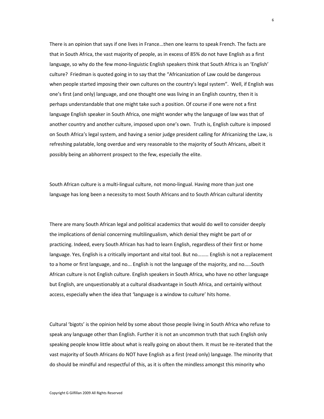There is an opinion that says if one lives in France...then one learns to speak French. The facts are that in South Africa, the vast majority of people, as in excess of 85% do not have English as a first language, so why do the few mono-linguistic English speakers think that South Africa is an 'English' culture? Friedman is quoted going in to say that the "Africanization of Law could be dangerous when people started imposing their own cultures on the country's legal system". Well, if English was one's first (and only) language, and one thought one was living in an English country, then it is perhaps understandable that one might take such a position. Of course if one were not a first language English speaker in South Africa, one might wonder why the language of law was that of another country and another culture, imposed upon one's own. Truth is, English culture is imposed on South Africa's legal system, and having a senior judge president calling for Africanizing the Law, is refreshing palatable, long overdue and very reasonable to the majority of South Africans, albeit it possibly being an abhorrent prospect to the few, especially the elite.

South African culture is a multi-lingual culture, not mono-lingual. Having more than just one language has long been a necessity to most South Africans and to South African cultural identity

There are many South African legal and political academics that would do well to consider deeply the implications of denial concerning multilingualism, which denial they might be part of or practicing. Indeed, every South African has had to learn English, regardless of their first or home language. Yes, English is a critically important and vital tool. But no........ English is not a replacement to a home or first language, and no... English is not the language of the majority, and no.....South African culture is not English culture. English speakers in South Africa, who have no other language but English, are unquestionably at a cultural disadvantage in South Africa, and certainly without access, especially when the idea that 'language is a window to culture' hits home.

Cultural 'bigots' is the opinion held by some about those people living in South Africa who refuse to speak any language other than English. Further it is not an uncommon truth that such English only speaking people know little about what is really going on about them. It must be re-iterated that the vast majority of South Africans do NOT have English as a first (read only) language. The minority that do should be mindful and respectful of this, as it is often the mindless amongst this minority who